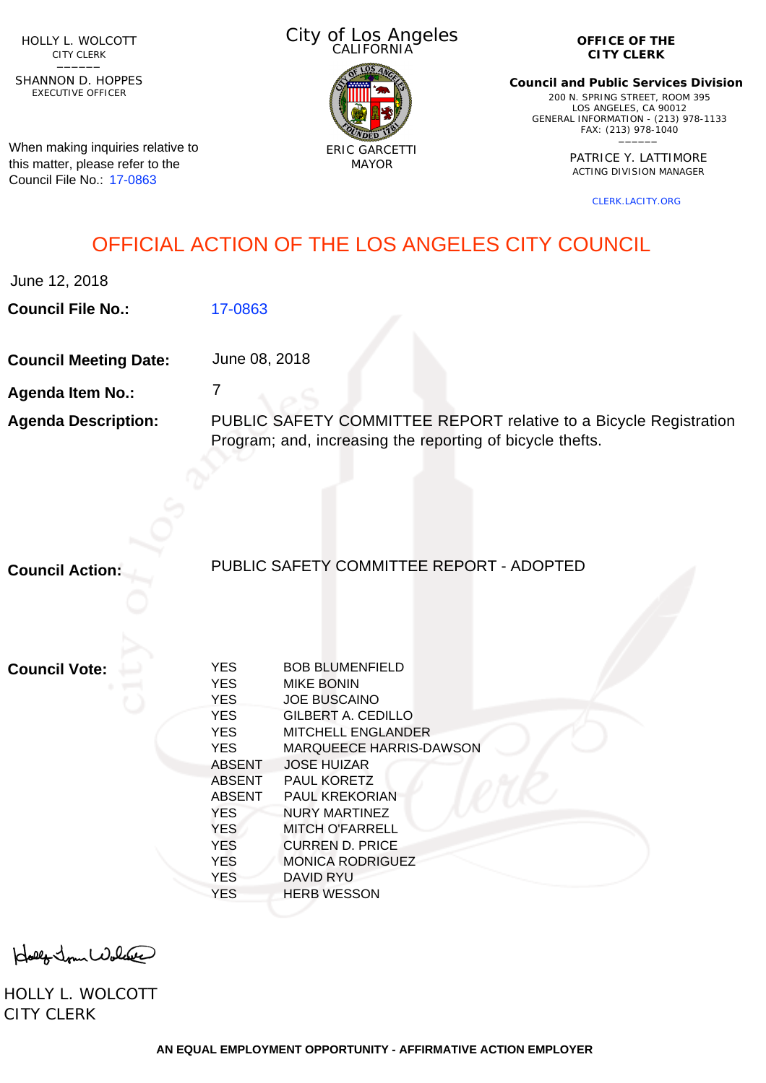HOLLY L. WOLCOTT CITY CLERK<br>—————

EXECUTIVE OFFICER SHANNON D. HOPPES

When making inquiries relative to this matter, please refer to the Council File No.: [17-0863](http://cityclerk.lacity.org/lacityclerkconnect/index.cfm?fa=ccfi.viewrecord&cfnumber=17-0863)

City of Los Angeles CALIFORNIA



**OFFICE OF THE CITY CLERK**

**Council and Public Services Division** 200 N. SPRING STREET, ROOM 395 LOS ANGELES, CA 90012 GENERAL INFORMATION - (213) 978-1133 FAX: (213) 978-1040 \_\_\_\_\_\_

> PATRICE Y. LATTIMORE ACTING DIVISION MANAGER

> > [CLERK.LACITY.ORG](http://clerk.lacity.org)

# OFFICIAL ACTION OF THE LOS ANGELES CITY COUNCIL

June 12, 2018

**Council File No.:** [17-0863](http://cityclerk.lacity.org/lacityclerkconnect/index.cfm?fa=ccfi.viewrecord&cfnumber=17-0863)

**Council Meeting Date:** June 08, 2018

7

**Agenda Item No.:**

**Agenda Description:** PUBLIC SAFETY COMMITTEE REPORT relative to a Bicycle Registration Program; and, increasing the reporting of bicycle thefts.

**Council Action:**

# PUBLIC SAFETY COMMITTEE REPORT - ADOPTED

**Council Vote:**

| <b>YES</b>    | <b>BOB BLUMENFIELD</b>         |
|---------------|--------------------------------|
| <b>YES</b>    | <b>MIKE BONIN</b>              |
| <b>YES</b>    | <b>JOE BUSCAINO</b>            |
| <b>YES</b>    | GILBERT A. CEDILLO             |
| <b>YES</b>    | MITCHELL ENGLANDER             |
| <b>YES</b>    | <b>MARQUEECE HARRIS-DAWSON</b> |
| <b>ABSENT</b> | <b>JOSE HUIZAR</b>             |
| <b>ABSENT</b> | <b>PAUL KORETZ</b>             |
| <b>ABSENT</b> | <b>PAUL KREKORIAN</b>          |
| <b>YES</b>    | NURY MARTINEZ                  |
| <b>YES</b>    | <b>MITCH O'FARRELL</b>         |
| <b>YES</b>    | CURREN D. PRICE                |
| <b>YES</b>    | <b>MONICA RODRIGUEZ</b>        |
| <b>YES</b>    | <b>DAVID RYU</b>               |
| <b>YES</b>    | <b>HERB WESSON</b>             |
|               |                                |

Holly Jour Wolcase

HOLLY L. WOLCOTT CITY CLERK